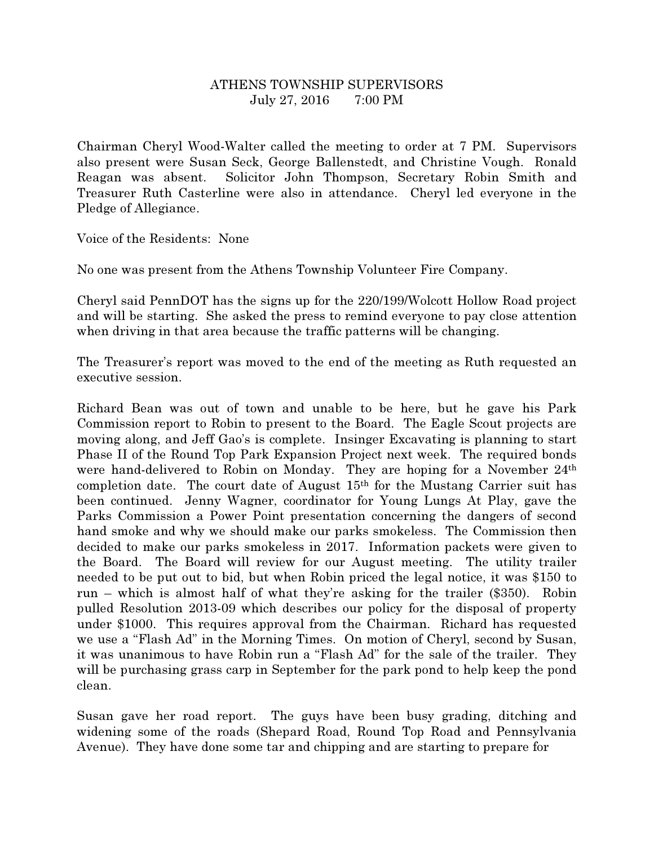## ATHENS TOWNSHIP SUPERVISORS July 27, 2016 7:00 PM

Chairman Cheryl Wood-Walter called the meeting to order at 7 PM. Supervisors also present were Susan Seck, George Ballenstedt, and Christine Vough. Ronald Reagan was absent. Solicitor John Thompson, Secretary Robin Smith and Treasurer Ruth Casterline were also in attendance. Cheryl led everyone in the Pledge of Allegiance.

Voice of the Residents: None

No one was present from the Athens Township Volunteer Fire Company.

Cheryl said PennDOT has the signs up for the 220/199/Wolcott Hollow Road project and will be starting. She asked the press to remind everyone to pay close attention when driving in that area because the traffic patterns will be changing.

The Treasurer's report was moved to the end of the meeting as Ruth requested an executive session.

Richard Bean was out of town and unable to be here, but he gave his Park Commission report to Robin to present to the Board. The Eagle Scout projects are moving along, and Jeff Gao's is complete. Insinger Excavating is planning to start Phase II of the Round Top Park Expansion Project next week. The required bonds were hand-delivered to Robin on Monday. They are hoping for a November 24<sup>th</sup> completion date. The court date of August 15th for the Mustang Carrier suit has been continued. Jenny Wagner, coordinator for Young Lungs At Play, gave the Parks Commission a Power Point presentation concerning the dangers of second hand smoke and why we should make our parks smokeless. The Commission then decided to make our parks smokeless in 2017. Information packets were given to the Board. The Board will review for our August meeting. The utility trailer needed to be put out to bid, but when Robin priced the legal notice, it was \$150 to run – which is almost half of what they're asking for the trailer (\$350). Robin pulled Resolution 2013-09 which describes our policy for the disposal of property under \$1000. This requires approval from the Chairman. Richard has requested we use a "Flash Ad" in the Morning Times. On motion of Cheryl, second by Susan, it was unanimous to have Robin run a "Flash Ad" for the sale of the trailer. They will be purchasing grass carp in September for the park pond to help keep the pond clean.

Susan gave her road report. The guys have been busy grading, ditching and widening some of the roads (Shepard Road, Round Top Road and Pennsylvania Avenue). They have done some tar and chipping and are starting to prepare for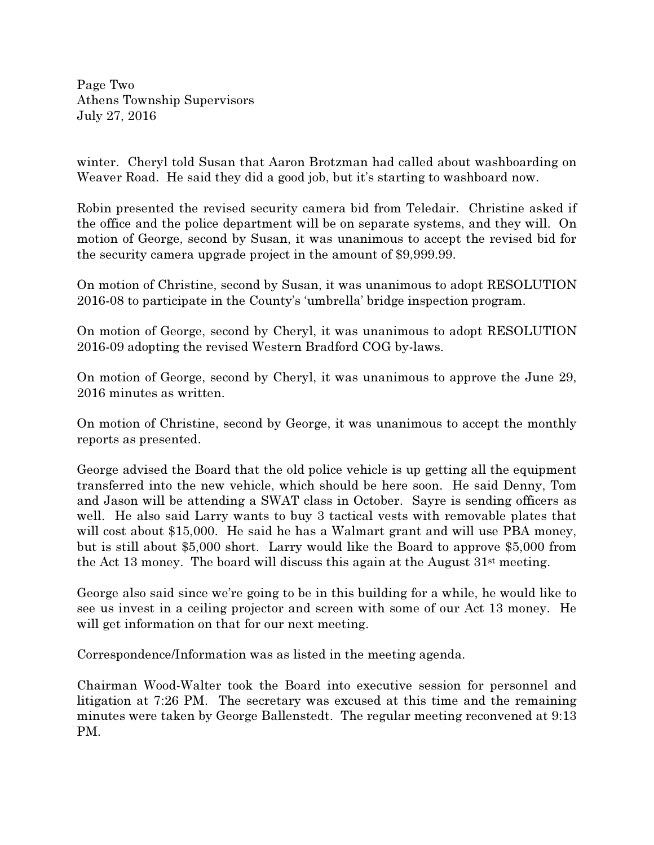Page Two Athens Township Supervisors July 27, 2016

winter. Cheryl told Susan that Aaron Brotzman had called about washboarding on Weaver Road. He said they did a good job, but it's starting to washboard now.

Robin presented the revised security camera bid from Teledair. Christine asked if the office and the police department will be on separate systems, and they will. On motion of George, second by Susan, it was unanimous to accept the revised bid for the security camera upgrade project in the amount of \$9,999.99.

On motion of Christine, second by Susan, it was unanimous to adopt RESOLUTION 2016-08 to participate in the County's 'umbrella' bridge inspection program.

On motion of George, second by Cheryl, it was unanimous to adopt RESOLUTION 2016-09 adopting the revised Western Bradford COG by-laws.

On motion of George, second by Cheryl, it was unanimous to approve the June 29, 2016 minutes as written.

On motion of Christine, second by George, it was unanimous to accept the monthly reports as presented.

George advised the Board that the old police vehicle is up getting all the equipment transferred into the new vehicle, which should be here soon. He said Denny, Tom and Jason will be attending a SWAT class in October. Sayre is sending officers as well. He also said Larry wants to buy 3 tactical vests with removable plates that will cost about \$15,000. He said he has a Walmart grant and will use PBA money, but is still about \$5,000 short. Larry would like the Board to approve \$5,000 from the Act 13 money. The board will discuss this again at the August 31st meeting.

George also said since we're going to be in this building for a while, he would like to see us invest in a ceiling projector and screen with some of our Act 13 money. He will get information on that for our next meeting.

Correspondence/Information was as listed in the meeting agenda.

Chairman Wood-Walter took the Board into executive session for personnel and litigation at 7:26 PM. The secretary was excused at this time and the remaining minutes were taken by George Ballenstedt. The regular meeting reconvened at 9:13 PM.